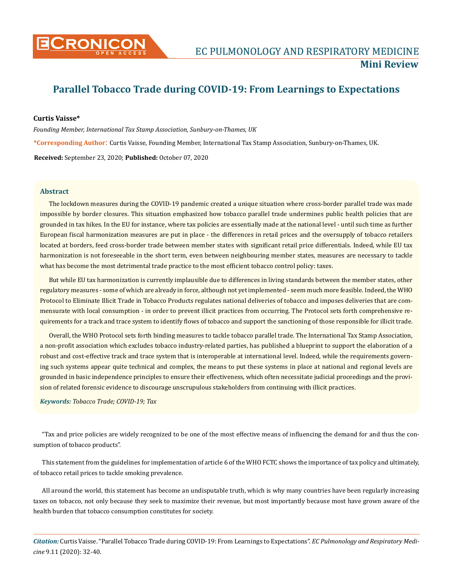

# **Parallel Tobacco Trade during COVID-19: From Learnings to Expectations**

## **Curtis Vaisse\***

*Founding Member, International Tax Stamp Association, Sunbury-on-Thames, UK* **\*Corresponding Author**: Curtis Vaisse, Founding Member, International Tax Stamp Association, Sunbury-on-Thames, UK. **Received:** September 23, 2020; **Published:** October 07, 2020

## **Abstract**

The lockdown measures during the COVID-19 pandemic created a unique situation where cross-border parallel trade was made impossible by border closures. This situation emphasized how tobacco parallel trade undermines public health policies that are grounded in tax hikes. In the EU for instance, where tax policies are essentially made at the national level - until such time as further European fiscal harmonization measures are put in place - the differences in retail prices and the oversupply of tobacco retailers located at borders, feed cross-border trade between member states with significant retail price differentials. Indeed, while EU tax harmonization is not foreseeable in the short term, even between neighbouring member states, measures are necessary to tackle what has become the most detrimental trade practice to the most efficient tobacco control policy: taxes.

But while EU tax harmonization is currently implausible due to differences in living standards between the member states, other regulatory measures - some of which are already in force, although not yet implemented - seem much more feasible. Indeed, the WHO Protocol to Eliminate Illicit Trade in Tobacco Products regulates national deliveries of tobacco and imposes deliveries that are commensurate with local consumption - in order to prevent illicit practices from occurring. The Protocol sets forth comprehensive requirements for a track and trace system to identify flows of tobacco and support the sanctioning of those responsible for illicit trade.

Overall, the WHO Protocol sets forth binding measures to tackle tobacco parallel trade. The International Tax Stamp Association, a non-profit association which excludes tobacco industry-related parties, has published a blueprint to support the elaboration of a robust and cost-effective track and trace system that is interoperable at international level. Indeed, while the requirements governing such systems appear quite technical and complex, the means to put these systems in place at national and regional levels are grounded in basic independence principles to ensure their effectiveness, which often necessitate judicial proceedings and the provision of related forensic evidence to discourage unscrupulous stakeholders from continuing with illicit practices.

## *Keywords: Tobacco Trade; COVID-19; Tax*

"Tax and price policies are widely recognized to be one of the most effective means of influencing the demand for and thus the consumption of tobacco products".

This statement from the guidelines for implementation of article 6 of the WHO FCTC shows the importance of tax policy and ultimately, of tobacco retail prices to tackle smoking prevalence.

All around the world, this statement has become an undisputable truth, which is why many countries have been regularly increasing taxes on tobacco, not only because they seek to maximize their revenue, but most importantly because most have grown aware of the health burden that tobacco consumption constitutes for society.

*Citation:* Curtis Vaisse. "Parallel Tobacco Trade during COVID-19: From Learnings to Expectations". *EC Pulmonology and Respiratory Medicine* 9.11 (2020): 32-40.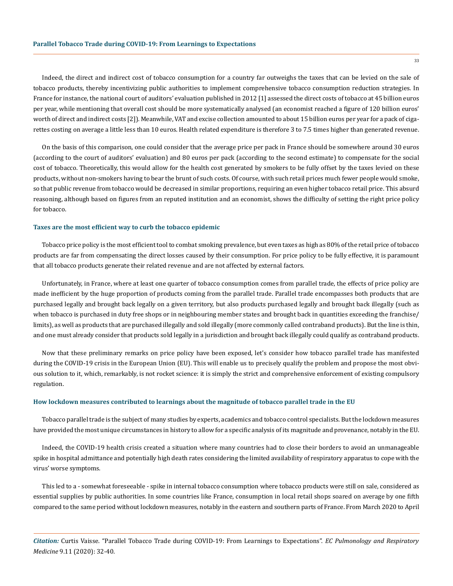Indeed, the direct and indirect cost of tobacco consumption for a country far outweighs the taxes that can be levied on the sale of tobacco products, thereby incentivizing public authorities to implement comprehensive tobacco consumption reduction strategies. In France for instance, the national court of auditors' evaluation published in 2012 [1] assessed the direct costs of tobacco at 45 billion euros per year, while mentioning that overall cost should be more systematically analysed (an economist reached a figure of 120 billion euros' worth of direct and indirect costs [2]). Meanwhile, VAT and excise collection amounted to about 15 billion euros per year for a pack of cigarettes costing on average a little less than 10 euros. Health related expenditure is therefore 3 to 7.5 times higher than generated revenue.

On the basis of this comparison, one could consider that the average price per pack in France should be somewhere around 30 euros (according to the court of auditors' evaluation) and 80 euros per pack (according to the second estimate) to compensate for the social cost of tobacco. Theoretically, this would allow for the health cost generated by smokers to be fully offset by the taxes levied on these products, without non-smokers having to bear the brunt of such costs. Of course, with such retail prices much fewer people would smoke, so that public revenue from tobacco would be decreased in similar proportions, requiring an even higher tobacco retail price. This absurd reasoning, although based on figures from an reputed institution and an economist, shows the difficulty of setting the right price policy for tobacco.

## **Taxes are the most efficient way to curb the tobacco epidemic**

Tobacco price policy is the most efficient tool to combat smoking prevalence, but even taxes as high as 80% of the retail price of tobacco products are far from compensating the direct losses caused by their consumption. For price policy to be fully effective, it is paramount that all tobacco products generate their related revenue and are not affected by external factors.

Unfortunately, in France, where at least one quarter of tobacco consumption comes from parallel trade, the effects of price policy are made inefficient by the huge proportion of products coming from the parallel trade. Parallel trade encompasses both products that are purchased legally and brought back legally on a given territory, but also products purchased legally and brought back illegally (such as when tobacco is purchased in duty free shops or in neighbouring member states and brought back in quantities exceeding the franchise/ limits), as well as products that are purchased illegally and sold illegally (more commonly called contraband products). But the line is thin, and one must already consider that products sold legally in a jurisdiction and brought back illegally could qualify as contraband products.

Now that these preliminary remarks on price policy have been exposed, let's consider how tobacco parallel trade has manifested during the COVID-19 crisis in the European Union (EU). This will enable us to precisely qualify the problem and propose the most obvious solution to it, which, remarkably, is not rocket science: it is simply the strict and comprehensive enforcement of existing compulsory regulation.

## **How lockdown measures contributed to learnings about the magnitude of tobacco parallel trade in the EU**

Tobacco parallel trade is the subject of many studies by experts, academics and tobacco control specialists. But the lockdown measures have provided the most unique circumstances in history to allow for a specific analysis of its magnitude and provenance, notably in the EU.

Indeed, the COVID-19 health crisis created a situation where many countries had to close their borders to avoid an unmanageable spike in hospital admittance and potentially high death rates considering the limited availability of respiratory apparatus to cope with the virus' worse symptoms.

This led to a - somewhat foreseeable - spike in internal tobacco consumption where tobacco products were still on sale, considered as essential supplies by public authorities. In some countries like France, consumption in local retail shops soared on average by one fifth compared to the same period without lockdown measures, notably in the eastern and southern parts of France. From March 2020 to April

*Citation:* Curtis Vaisse. "Parallel Tobacco Trade during COVID-19: From Learnings to Expectations". *EC Pulmonology and Respiratory Medicine* 9.11 (2020): 32-40.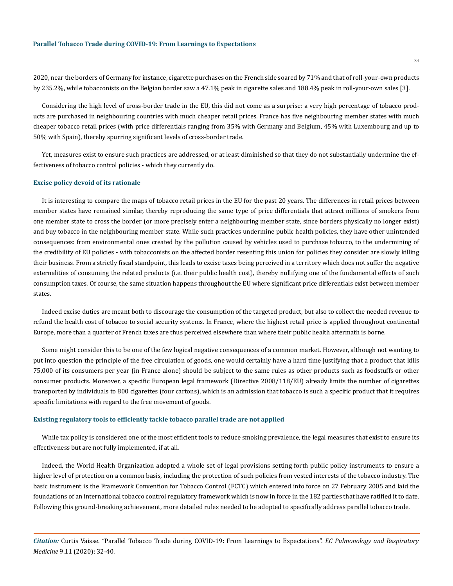2020, near the borders of Germany for instance, cigarette purchases on the French side soared by 71% and that of roll-your-own products by 235.2%, while tobacconists on the Belgian border saw a 47.1% peak in cigarette sales and 188.4% peak in roll-your-own sales [3].

Considering the high level of cross-border trade in the EU, this did not come as a surprise: a very high percentage of tobacco products are purchased in neighbouring countries with much cheaper retail prices. France has five neighbouring member states with much cheaper tobacco retail prices (with price differentials ranging from 35% with Germany and Belgium, 45% with Luxembourg and up to 50% with Spain), thereby spurring significant levels of cross-border trade.

Yet, measures exist to ensure such practices are addressed, or at least diminished so that they do not substantially undermine the effectiveness of tobacco control policies - which they currently do.

## **Excise policy devoid of its rationale**

It is interesting to compare the maps of tobacco retail prices in the EU for the past 20 years. The differences in retail prices between member states have remained similar, thereby reproducing the same type of price differentials that attract millions of smokers from one member state to cross the border (or more precisely enter a neighbouring member state, since borders physically no longer exist) and buy tobacco in the neighbouring member state. While such practices undermine public health policies, they have other unintended consequences: from environmental ones created by the pollution caused by vehicles used to purchase tobacco, to the undermining of the credibility of EU policies - with tobacconists on the affected border resenting this union for policies they consider are slowly killing their business. From a strictly fiscal standpoint, this leads to excise taxes being perceived in a territory which does not suffer the negative externalities of consuming the related products (i.e. their public health cost), thereby nullifying one of the fundamental effects of such consumption taxes. Of course, the same situation happens throughout the EU where significant price differentials exist between member states.

Indeed excise duties are meant both to discourage the consumption of the targeted product, but also to collect the needed revenue to refund the health cost of tobacco to social security systems. In France, where the highest retail price is applied throughout continental Europe, more than a quarter of French taxes are thus perceived elsewhere than where their public health aftermath is borne.

Some might consider this to be one of the few logical negative consequences of a common market. However, although not wanting to put into question the principle of the free circulation of goods, one would certainly have a hard time justifying that a product that kills 75,000 of its consumers per year (in France alone) should be subject to the same rules as other products such as foodstuffs or other consumer products. Moreover, a specific European legal framework (Directive 2008/118/EU) already limits the number of cigarettes transported by individuals to 800 cigarettes (four cartons), which is an admission that tobacco is such a specific product that it requires specific limitations with regard to the free movement of goods.

### **Existing regulatory tools to efficiently tackle tobacco parallel trade are not applied**

While tax policy is considered one of the most efficient tools to reduce smoking prevalence, the legal measures that exist to ensure its effectiveness but are not fully implemented, if at all.

Indeed, the World Health Organization adopted a whole set of legal provisions setting forth public policy instruments to ensure a higher level of protection on a common basis, including the protection of such policies from vested interests of the tobacco industry. The basic instrument is the Framework Convention for Tobacco Control (FCTC) which entered into force on 27 February 2005 and laid the foundations of an international tobacco control regulatory framework which is now in force in the 182 parties that have ratified it to date. Following this ground-breaking achievement, more detailed rules needed to be adopted to specifically address parallel tobacco trade.

*Citation:* Curtis Vaisse. "Parallel Tobacco Trade during COVID-19: From Learnings to Expectations". *EC Pulmonology and Respiratory Medicine* 9.11 (2020): 32-40.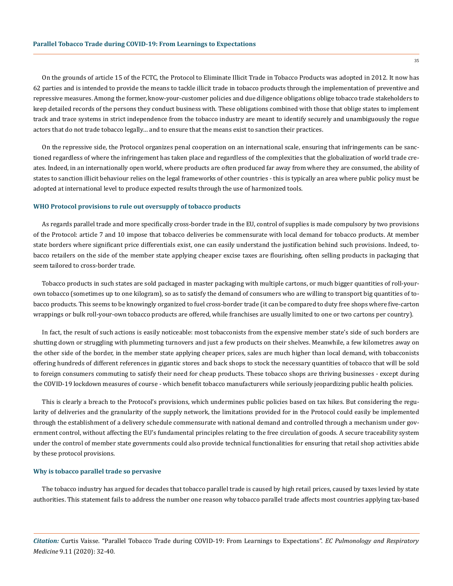On the grounds of article 15 of the FCTC, the Protocol to Eliminate Illicit Trade in Tobacco Products was adopted in 2012. It now has 62 parties and is intended to provide the means to tackle illicit trade in tobacco products through the implementation of preventive and repressive measures. Among the former, know-your-customer policies and due diligence obligations oblige tobacco trade stakeholders to keep detailed records of the persons they conduct business with. These obligations combined with those that oblige states to implement track and trace systems in strict independence from the tobacco industry are meant to identify securely and unambiguously the rogue actors that do not trade tobacco legally… and to ensure that the means exist to sanction their practices.

On the repressive side, the Protocol organizes penal cooperation on an international scale, ensuring that infringements can be sanctioned regardless of where the infringement has taken place and regardless of the complexities that the globalization of world trade creates. Indeed, in an internationally open world, where products are often produced far away from where they are consumed, the ability of states to sanction illicit behaviour relies on the legal frameworks of other countries - this is typically an area where public policy must be adopted at international level to produce expected results through the use of harmonized tools.

#### **WHO Protocol provisions to rule out oversupply of tobacco products**

As regards parallel trade and more specifically cross-border trade in the EU, control of supplies is made compulsory by two provisions of the Protocol: article 7 and 10 impose that tobacco deliveries be commensurate with local demand for tobacco products. At member state borders where significant price differentials exist, one can easily understand the justification behind such provisions. Indeed, tobacco retailers on the side of the member state applying cheaper excise taxes are flourishing, often selling products in packaging that seem tailored to cross-border trade.

Tobacco products in such states are sold packaged in master packaging with multiple cartons, or much bigger quantities of roll-yourown tobacco (sometimes up to one kilogram), so as to satisfy the demand of consumers who are willing to transport big quantities of tobacco products. This seems to be knowingly organized to fuel cross-border trade (it can be compared to duty free shops where five-carton wrappings or bulk roll-your-own tobacco products are offered, while franchises are usually limited to one or two cartons per country).

In fact, the result of such actions is easily noticeable: most tobacconists from the expensive member state's side of such borders are shutting down or struggling with plummeting turnovers and just a few products on their shelves. Meanwhile, a few kilometres away on the other side of the border, in the member state applying cheaper prices, sales are much higher than local demand, with tobacconists offering hundreds of different references in gigantic stores and back shops to stock the necessary quantities of tobacco that will be sold to foreign consumers commuting to satisfy their need for cheap products. These tobacco shops are thriving businesses - except during the COVID-19 lockdown measures of course - which benefit tobacco manufacturers while seriously jeopardizing public health policies.

This is clearly a breach to the Protocol's provisions, which undermines public policies based on tax hikes. But considering the regularity of deliveries and the granularity of the supply network, the limitations provided for in the Protocol could easily be implemented through the establishment of a delivery schedule commensurate with national demand and controlled through a mechanism under government control, without affecting the EU's fundamental principles relating to the free circulation of goods. A secure traceability system under the control of member state governments could also provide technical functionalities for ensuring that retail shop activities abide by these protocol provisions.

## **Why is tobacco parallel trade so pervasive**

The tobacco industry has argued for decades that tobacco parallel trade is caused by high retail prices, caused by taxes levied by state authorities. This statement fails to address the number one reason why tobacco parallel trade affects most countries applying tax-based

*Citation:* Curtis Vaisse. "Parallel Tobacco Trade during COVID-19: From Learnings to Expectations". *EC Pulmonology and Respiratory Medicine* 9.11 (2020): 32-40.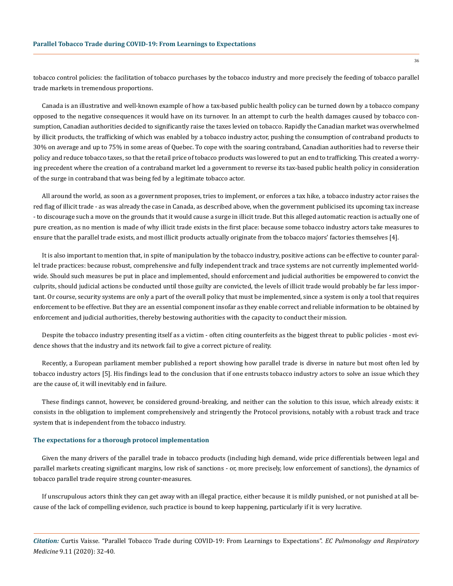tobacco control policies: the facilitation of tobacco purchases by the tobacco industry and more precisely the feeding of tobacco parallel trade markets in tremendous proportions.

Canada is an illustrative and well-known example of how a tax-based public health policy can be turned down by a tobacco company opposed to the negative consequences it would have on its turnover. In an attempt to curb the health damages caused by tobacco consumption, Canadian authorities decided to significantly raise the taxes levied on tobacco. Rapidly the Canadian market was overwhelmed by illicit products, the trafficking of which was enabled by a tobacco industry actor, pushing the consumption of contraband products to 30% on average and up to 75% in some areas of Quebec. To cope with the soaring contraband, Canadian authorities had to reverse their policy and reduce tobacco taxes, so that the retail price of tobacco products was lowered to put an end to trafficking. This created a worrying precedent where the creation of a contraband market led a government to reverse its tax-based public health policy in consideration of the surge in contraband that was being fed by a legitimate tobacco actor.

All around the world, as soon as a government proposes, tries to implement, or enforces a tax hike, a tobacco industry actor raises the red flag of illicit trade - as was already the case in Canada, as described above, when the government publicised its upcoming tax increase - to discourage such a move on the grounds that it would cause a surge in illicit trade. But this alleged automatic reaction is actually one of pure creation, as no mention is made of why illicit trade exists in the first place: because some tobacco industry actors take measures to ensure that the parallel trade exists, and most illicit products actually originate from the tobacco majors' factories themselves [4].

It is also important to mention that, in spite of manipulation by the tobacco industry, positive actions can be effective to counter parallel trade practices: because robust, comprehensive and fully independent track and trace systems are not currently implemented worldwide. Should such measures be put in place and implemented, should enforcement and judicial authorities be empowered to convict the culprits, should judicial actions be conducted until those guilty are convicted, the levels of illicit trade would probably be far less important. Or course, security systems are only a part of the overall policy that must be implemented, since a system is only a tool that requires enforcement to be effective. But they are an essential component insofar as they enable correct and reliable information to be obtained by enforcement and judicial authorities, thereby bestowing authorities with the capacity to conduct their mission.

Despite the tobacco industry presenting itself as a victim - often citing counterfeits as the biggest threat to public policies - most evidence shows that the industry and its network fail to give a correct picture of reality.

Recently, a European parliament member published a report showing how parallel trade is diverse in nature but most often led by tobacco industry actors [5]. His findings lead to the conclusion that if one entrusts tobacco industry actors to solve an issue which they are the cause of, it will inevitably end in failure.

These findings cannot, however, be considered ground-breaking, and neither can the solution to this issue, which already exists: it consists in the obligation to implement comprehensively and stringently the Protocol provisions, notably with a robust track and trace system that is independent from the tobacco industry.

## **The expectations for a thorough protocol implementation**

Given the many drivers of the parallel trade in tobacco products (including high demand, wide price differentials between legal and parallel markets creating significant margins, low risk of sanctions - or, more precisely, low enforcement of sanctions), the dynamics of tobacco parallel trade require strong counter-measures.

If unscrupulous actors think they can get away with an illegal practice, either because it is mildly punished, or not punished at all because of the lack of compelling evidence, such practice is bound to keep happening, particularly if it is very lucrative.

*Citation:* Curtis Vaisse. "Parallel Tobacco Trade during COVID-19: From Learnings to Expectations". *EC Pulmonology and Respiratory Medicine* 9.11 (2020): 32-40.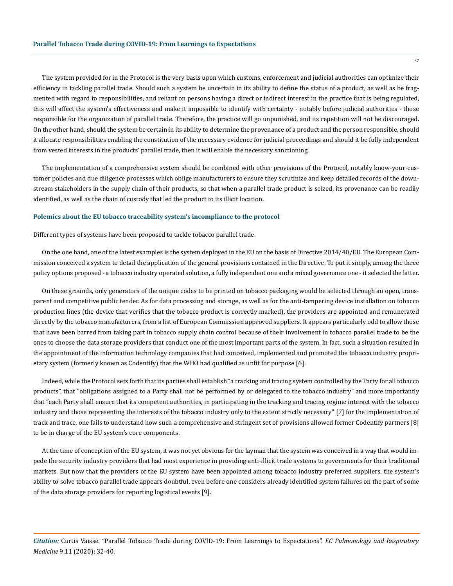The system provided for in the Protocol is the very basis upon which customs, enforcement and judicial authorities can optimize their efficiency in tackling parallel trade. Should such a system be uncertain in its ability to define the status of a product, as well as be fragmented with regard to responsibilities, and reliant on persons having a direct or indirect interest in the practice that is being regulated, this will affect the system's effectiveness and make it impossible to identify with certainty - notably before judicial authorities - those responsible for the organization of parallel trade. Therefore, the practice will go unpunished, and its repetition will not be discouraged. On the other hand, should the system be certain in its ability to determine the provenance of a product and the person responsible, should it allocate responsibilities enabling the constitution of the necessary evidence for judicial proceedings and should it be fully independent from vested interests in the products' parallel trade, then it will enable the necessary sanctioning.

The implementation of a comprehensive system should be combined with other provisions of the Protocol, notably know-your-customer policies and due diligence processes which oblige manufacturers to ensure they scrutinize and keep detailed records of the downstream stakeholders in the supply chain of their products, so that when a parallel trade product is seized, its provenance can be readily identified, as well as the chain of custody that led the product to its illicit location.

#### **Polemics about the EU tobacco traceability system's incompliance to the protocol**

Different types of systems have been proposed to tackle tobacco parallel trade.

On the one hand, one of the latest examples is the system deployed in the EU on the basis of Directive 2014/40/EU. The European Commission conceived a system to detail the application of the general provisions contained in the Directive. To put it simply, among the three policy options proposed - a tobacco industry operated solution, a fully independent one and a mixed governance one - it selected the latter.

On these grounds, only generators of the unique codes to be printed on tobacco packaging would be selected through an open, transparent and competitive public tender. As for data processing and storage, as well as for the anti-tampering device installation on tobacco production lines (the device that verifies that the tobacco product is correctly marked), the providers are appointed and remunerated directly by the tobacco manufacturers, from a list of European Commission approved suppliers. It appears particularly odd to allow those that have been barred from taking part in tobacco supply chain control because of their involvement in tobacco parallel trade to be the ones to choose the data storage providers that conduct one of the most important parts of the system. In fact, such a situation resulted in the appointment of the information technology companies that had conceived, implemented and promoted the tobacco industry proprietary system (formerly known as Codentify) that the WHO had qualified as unfit for purpose [6].

Indeed, while the Protocol sets forth that its parties shall establish "a tracking and tracing system controlled by the Party for all tobacco products", that "obligations assigned to a Party shall not be performed by or delegated to the tobacco industry" and more importantly that "each Party shall ensure that its competent authorities, in participating in the tracking and tracing regime interact with the tobacco industry and those representing the interests of the tobacco industry only to the extent strictly necessary" [7] for the implementation of track and trace, one fails to understand how such a comprehensive and stringent set of provisions allowed former Codentify partners [8] to be in charge of the EU system's core components.

At the time of conception of the EU system, it was not yet obvious for the layman that the system was conceived in a way that would impede the security industry providers that had most experience in providing anti-illicit trade systems to governments for their traditional markets. But now that the providers of the EU system have been appointed among tobacco industry preferred suppliers, the system's ability to solve tobacco parallel trade appears doubtful, even before one considers already identified system failures on the part of some of the data storage providers for reporting logistical events [9].

*Citation:* Curtis Vaisse. "Parallel Tobacco Trade during COVID-19: From Learnings to Expectations". *EC Pulmonology and Respiratory Medicine* 9.11 (2020): 32-40.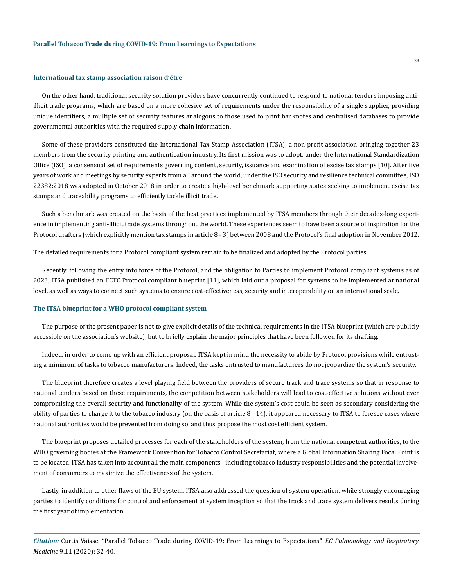#### **International tax stamp association raison d'être**

On the other hand, traditional security solution providers have concurrently continued to respond to national tenders imposing antiillicit trade programs, which are based on a more cohesive set of requirements under the responsibility of a single supplier, providing unique identifiers, a multiple set of security features analogous to those used to print banknotes and centralised databases to provide governmental authorities with the required supply chain information.

Some of these providers constituted the International Tax Stamp Association (ITSA), a non-profit association bringing together 23 members from the security printing and authentication industry. Its first mission was to adopt, under the International Standardization Office (ISO), a consensual set of requirements governing content, security, issuance and examination of excise tax stamps [10]. After five years of work and meetings by security experts from all around the world, under the ISO security and resilience technical committee, ISO 22382:2018 was adopted in October 2018 in order to create a high-level benchmark supporting states seeking to implement excise tax stamps and traceability programs to efficiently tackle illicit trade.

Such a benchmark was created on the basis of the best practices implemented by ITSA members through their decades-long experience in implementing anti-illicit trade systems throughout the world. These experiences seem to have been a source of inspiration for the Protocol drafters (which explicitly mention tax stamps in article 8 - 3) between 2008 and the Protocol's final adoption in November 2012.

The detailed requirements for a Protocol compliant system remain to be finalized and adopted by the Protocol parties.

Recently, following the entry into force of the Protocol, and the obligation to Parties to implement Protocol compliant systems as of 2023, ITSA published an FCTC Protocol compliant blueprint [11], which laid out a proposal for systems to be implemented at national level, as well as ways to connect such systems to ensure cost-effectiveness, security and interoperability on an international scale.

## **The ITSA blueprint for a WHO protocol compliant system**

The purpose of the present paper is not to give explicit details of the technical requirements in the ITSA blueprint (which are publicly accessible on the association's website), but to briefly explain the major principles that have been followed for its drafting.

Indeed, in order to come up with an efficient proposal, ITSA kept in mind the necessity to abide by Protocol provisions while entrusting a minimum of tasks to tobacco manufacturers. Indeed, the tasks entrusted to manufacturers do not jeopardize the system's security.

The blueprint therefore creates a level playing field between the providers of secure track and trace systems so that in response to national tenders based on these requirements, the competition between stakeholders will lead to cost-effective solutions without ever compromising the overall security and functionality of the system. While the system's cost could be seen as secondary considering the ability of parties to charge it to the tobacco industry (on the basis of article 8 - 14), it appeared necessary to ITSA to foresee cases where national authorities would be prevented from doing so, and thus propose the most cost efficient system.

The blueprint proposes detailed processes for each of the stakeholders of the system, from the national competent authorities, to the WHO governing bodies at the Framework Convention for Tobacco Control Secretariat, where a Global Information Sharing Focal Point is to be located. ITSA has taken into account all the main components - including tobacco industry responsibilities and the potential involvement of consumers to maximize the effectiveness of the system.

Lastly, in addition to other flaws of the EU system, ITSA also addressed the question of system operation, while strongly encouraging parties to identify conditions for control and enforcement at system inception so that the track and trace system delivers results during the first year of implementation.

*Citation:* Curtis Vaisse. "Parallel Tobacco Trade during COVID-19: From Learnings to Expectations". *EC Pulmonology and Respiratory Medicine* 9.11 (2020): 32-40.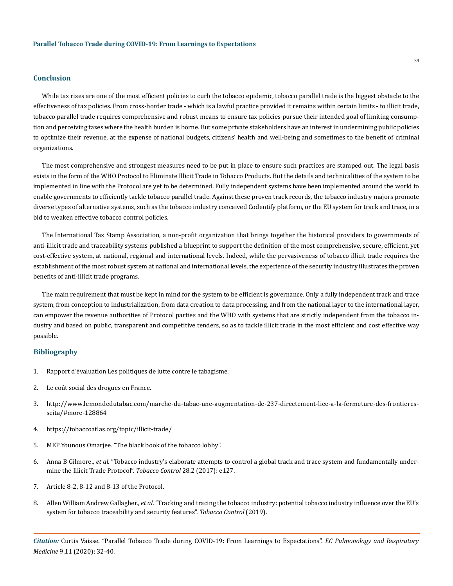## **Conclusion**

While tax rises are one of the most efficient policies to curb the tobacco epidemic, tobacco parallel trade is the biggest obstacle to the effectiveness of tax policies. From cross-border trade - which is a lawful practice provided it remains within certain limits - to illicit trade, tobacco parallel trade requires comprehensive and robust means to ensure tax policies pursue their intended goal of limiting consumption and perceiving taxes where the health burden is borne. But some private stakeholders have an interest in undermining public policies to optimize their revenue, at the expense of national budgets, citizens' health and well-being and sometimes to the benefit of criminal organizations.

The most comprehensive and strongest measures need to be put in place to ensure such practices are stamped out. The legal basis exists in the form of the WHO Protocol to Eliminate Illicit Trade in Tobacco Products. But the details and technicalities of the system to be implemented in line with the Protocol are yet to be determined. Fully independent systems have been implemented around the world to enable governments to efficiently tackle tobacco parallel trade. Against these proven track records, the tobacco industry majors promote diverse types of alternative systems, such as the tobacco industry conceived Codentify platform, or the EU system for track and trace, in a bid to weaken effective tobacco control policies.

The International Tax Stamp Association, a non-profit organization that brings together the historical providers to governments of anti-illicit trade and traceability systems published a blueprint to support the definition of the most comprehensive, secure, efficient, yet cost-effective system, at national, regional and international levels. Indeed, while the pervasiveness of tobacco illicit trade requires the establishment of the most robust system at national and international levels, the experience of the security industry illustrates the proven benefits of anti-illicit trade programs.

The main requirement that must be kept in mind for the system to be efficient is governance. Only a fully independent track and trace system, from conception to industrialization, from data creation to data processing, and from the national layer to the international layer, can empower the revenue authorities of Protocol parties and the WHO with systems that are strictly independent from the tobacco industry and based on public, transparent and competitive tenders, so as to tackle illicit trade in the most efficient and cost effective way possible.

# **Bibliography**

- 1. [Rapport d'évaluation Les politiques de lutte contre le tabagisme.](https://www.ccomptes.fr/sites/default/files/EzPublish/rapport_evaluation_lutte_contre_tabagisme.pdf)
- 2. [Le coût social des drogues en France.](https://www.federationaddiction.fr/le-cout-social-des-drogues-en-france/)
- 3. [http://www.lemondedutabac.com/marche-du-tabac-une-augmentation-de-237-directement-liee-a-la-fermeture-des-frontieres](http://www.lemondedutabac.com/marche-du-tabac-une-augmentation-de-237-directement-liee-a-la-fermeture-des-frontieres-seita/#more-128864)[seita/#more-128864](http://www.lemondedutabac.com/marche-du-tabac-une-augmentation-de-237-directement-liee-a-la-fermeture-des-frontieres-seita/#more-128864)
- 4. <https://tobaccoatlas.org/topic/illicit-trade/>
- 5. [MEP Younous Omarjee. "The black book of the tobacco lobby".](https://drive.google.com/file/d/1LFwLgovcROB7qsSfwB_Fv0tr5eJHU9nV/view)
- 6. Anna B Gilmore., *et al*[. "Tobacco industry's elaborate attempts to control a global track and trace system and fundamentally under](https://tobaccocontrol.bmj.com/content/28/2/127)[mine the Illicit Trade Protocol".](https://tobaccocontrol.bmj.com/content/28/2/127) *Tobacco Control* 28.2 (2017): e127.
- 7. Article 8-2, 8-12 and 8-13 of the Protocol.
- 8. Allen William Andrew Gallagher., *et al*[. "Tracking and tracing the tobacco industry: potential tobacco industry influence over the EU's](https://tobaccocontrol.bmj.com/content/early/2019/08/30/tobaccocontrol-2019-055094) [system for tobacco traceability and security features".](https://tobaccocontrol.bmj.com/content/early/2019/08/30/tobaccocontrol-2019-055094) *Tobacco Control* (2019).